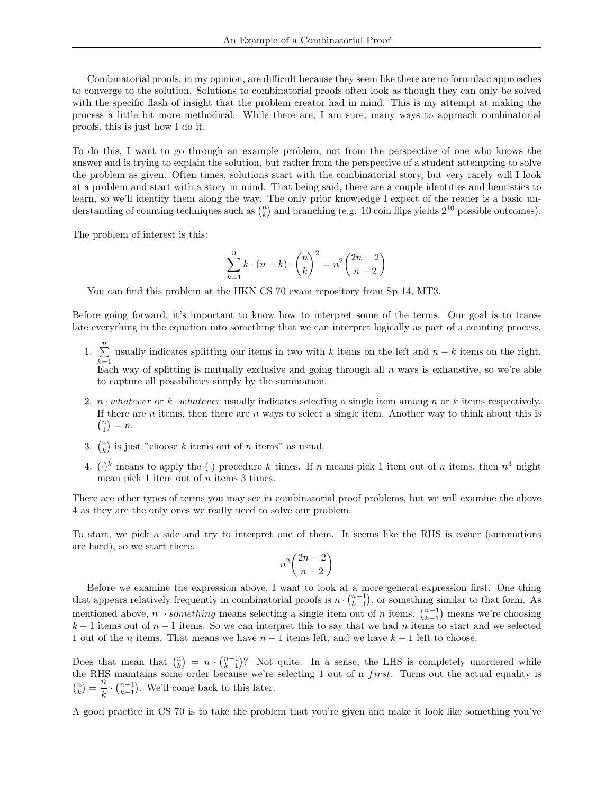Combinatorial proofs, in my opinion, are difficult because they seem like there are no formulaic approaches to converge to the solution. Solutions to combinatorial proofs often look as though they can only be solved with the specific flash of insight that the problem creator had in mind. This is my attempt at making the process a little bit more methodical. While there are, I am sure, many ways to approach combinatorial proofs, this is just how I do it.

To do this, I want to go through an example problem, not from the perspective of one who knows the answer and is trying to explain the solution, but rather from the perspective of a student attempting to solve the problem as given. Often times, solutions start with the combinatorial story, but very rarely will I look at a problem and start with a story in mind. That being said, there are a couple identities and heuristics to learn, so we'll identify them along the way. The only prior knowledge I expect of the reader is a basic understanding of counting techniques such as  $\binom{n}{k}$  and branching (e.g. 10 coin flips yields  $2^{10}$  possible outcomes).

The problem of interest is this:

$$
\sum_{k=1}^n k \cdot (n-k) \cdot \binom{n}{k}^2 = n^2 \binom{2n-2}{n-2}
$$

You can find this problem at the HKN CS 70 exam repository from Sp 14, MT3.

Before going forward, it's important to know how to interpret some of the terms. Our goal is to translate everything in the equation into something that we can interpret logically as part of a counting process.

1.  $\sum_{1}^{n}$  $k=1$ usually indicates splitting our items in two with k items on the left and  $n - k$  items on the right. Each way of splitting is mutually exclusive and going through all  $n$  ways is exhaustive, so we're able

to capture all possibilities simply by the summation.

- 2.  $n \cdot whatever$  or  $k \cdot whatever$  usually indicates selecting a single item among n or k items respectively. If there are n items, then there are n ways to select a single item. Another way to think about this is  $\binom{n}{1} = n.$
- 3.  $\binom{n}{k}$  is just "choose k items out of n items" as usual.
- 4.  $(\cdot)^k$  means to apply the  $(\cdot)$  procedure k times. If n means pick 1 item out of n items, then  $n^3$  might mean pick 1 item out of n items 3 times.

There are other types of terms you may see in combinatorial proof problems, but we will examine the above 4 as they are the only ones we really need to solve our problem.

To start, we pick a side and try to interpret one of them. It seems like the RHS is easier (summations are hard), so we start there.

$$
n^2 \binom{2n-2}{n-2}
$$

Before we examine the expression above, I want to look at a more general expression first. One thing that appears relatively frequently in combinatorial proofs is  $n \cdot \binom{n-1}{k-1}$ , or something similar to that form. As mentioned above,  $n \cdot something$  means selecting a single item out of n items.  $\binom{n-1}{k-1}$  means we're choosing  $k-1$  items out of  $n-1$  items. So we can interpret this to say that we had n items to start and we selected 1 out of the *n* items. That means we have  $n - 1$  items left, and we have  $k - 1$  left to choose.

Does that mean that  $\binom{n}{k} = n \cdot \binom{n-1}{k-1}$ ? Not quite. In a sense, the LHS is completely unordered while the RHS maintains some order because we're selecting 1 out of n *first*. Turns out the actual equality is  $\binom{n}{k} = \frac{n}{k}$  $\frac{n}{k} \cdot \binom{n-1}{k-1}$ . We'll come back to this later.

A good practice in CS 70 is to take the problem that you're given and make it look like something you've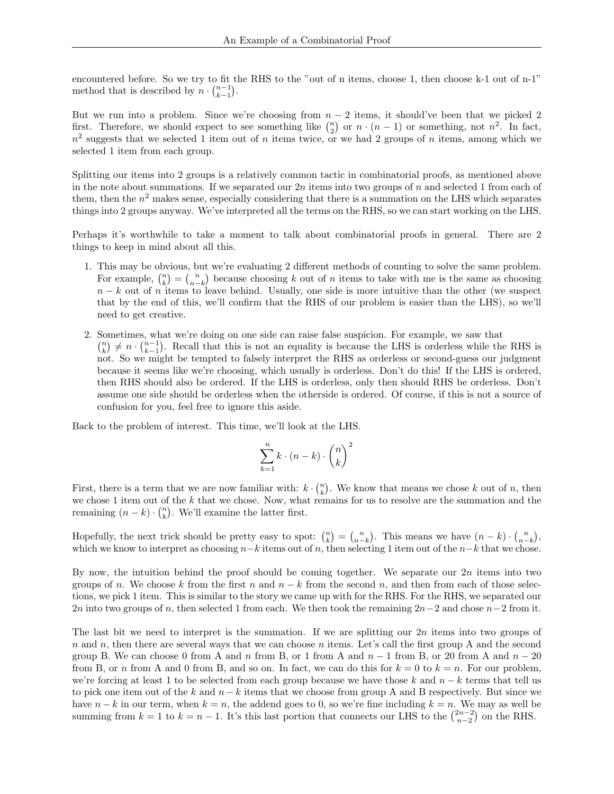encountered before. So we try to fit the RHS to the "out of n items, choose 1, then choose k-1 out of n-1" method that is described by  $n \cdot \binom{n-1}{k-1}$ .

But we run into a problem. Since we're choosing from  $n-2$  items, it should've been that we picked 2 first. Therefore, we should expect to see something like  $\binom{n}{2}$  or  $n \cdot (n-1)$  or something, not  $n^2$ . In fact,  $n^2$  suggests that we selected 1 item out of n items twice, or we had 2 groups of n items, among which we selected 1 item from each group.

Splitting our items into 2 groups is a relatively common tactic in combinatorial proofs, as mentioned above in the note about summations. If we separated our  $2n$  items into two groups of n and selected 1 from each of them, then the  $n^2$  makes sense, especially considering that there is a summation on the LHS which separates things into 2 groups anyway. We've interpreted all the terms on the RHS, so we can start working on the LHS.

Perhaps it's worthwhile to take a moment to talk about combinatorial proofs in general. There are 2 things to keep in mind about all this.

- 1. This may be obvious, but we're evaluating 2 different methods of counting to solve the same problem. For example,  $\binom{n}{k} = \binom{n}{n-k}$  because choosing k out of n items to take with me is the same as choosing  $n - k$  out of n items to leave behind. Usually, one side is more intuitive than the other (we suspect that by the end of this, we'll confirm that the RHS of our problem is easier than the LHS), so we'll need to get creative.
- 2. Sometimes, what we're doing on one side can raise false suspicion. For example, we saw that  $\binom{n}{k} \neq n \cdot \binom{n-1}{k-1}$ . Recall that this is not an equality is because the LHS is orderless while the RHS is not. So we might be tempted to falsely interpret the RHS as orderless or second-guess our judgment because it seems like we're choosing, which usually is orderless. Don't do this! If the LHS is ordered, then RHS should also be ordered. If the LHS is orderless, only then should RHS be orderless. Don't assume one side should be orderless when the otherside is ordered. Of course, if this is not a source of confusion for you, feel free to ignore this aside.

Back to the problem of interest. This time, we'll look at the LHS.

$$
\sum_{k=1}^{n} k \cdot (n-k) \cdot {n \choose k}^2
$$

First, there is a term that we are now familiar with:  $k \cdot \binom{n}{k}$ . We know that means we chose k out of n, then we chose 1 item out of the  $k$  that we chose. Now, what remains for us to resolve are the summation and the remaining  $(n - k) \cdot {n \choose k}$ . We'll examine the latter first.

Hopefully, the next trick should be pretty easy to spot:  $\binom{n}{k} = \binom{n}{n-k}$ . This means we have  $(n-k) \cdot \binom{n}{n-k}$ , which we know to interpret as choosing  $n-k$  items out of n, then selecting 1 item out of the  $n-k$  that we chose.

By now, the intuition behind the proof should be coming together. We separate our  $2n$  items into two groups of n. We choose k from the first n and  $n - k$  from the second n, and then from each of those selections, we pick 1 item. This is similar to the story we came up with for the RHS. For the RHS, we separated our 2n into two groups of n, then selected 1 from each. We then took the remaining  $2n-2$  and chose  $n-2$  from it.

The last bit we need to interpret is the summation. If we are splitting our  $2n$  items into two groups of  $n$  and  $n$ , then there are several ways that we can choose  $n$  items. Let's call the first group A and the second group B. We can choose 0 from A and n from B, or 1 from A and  $n-1$  from B, or 20 from A and  $n-20$ from B, or n from A and 0 from B, and so on. In fact, we can do this for  $k = 0$  to  $k = n$ . For our problem, we're forcing at least 1 to be selected from each group because we have those k and  $n - k$  terms that tell us to pick one item out of the k and  $n - k$  items that we choose from group A and B respectively. But since we have  $n - k$  in our term, when  $k = n$ , the addend goes to 0, so we're fine including  $k = n$ . We may as well be summing from  $k = 1$  to  $k = n - 1$ . It's this last portion that connects our LHS to the  $\binom{2n-2}{n-2}$  on the RHS.